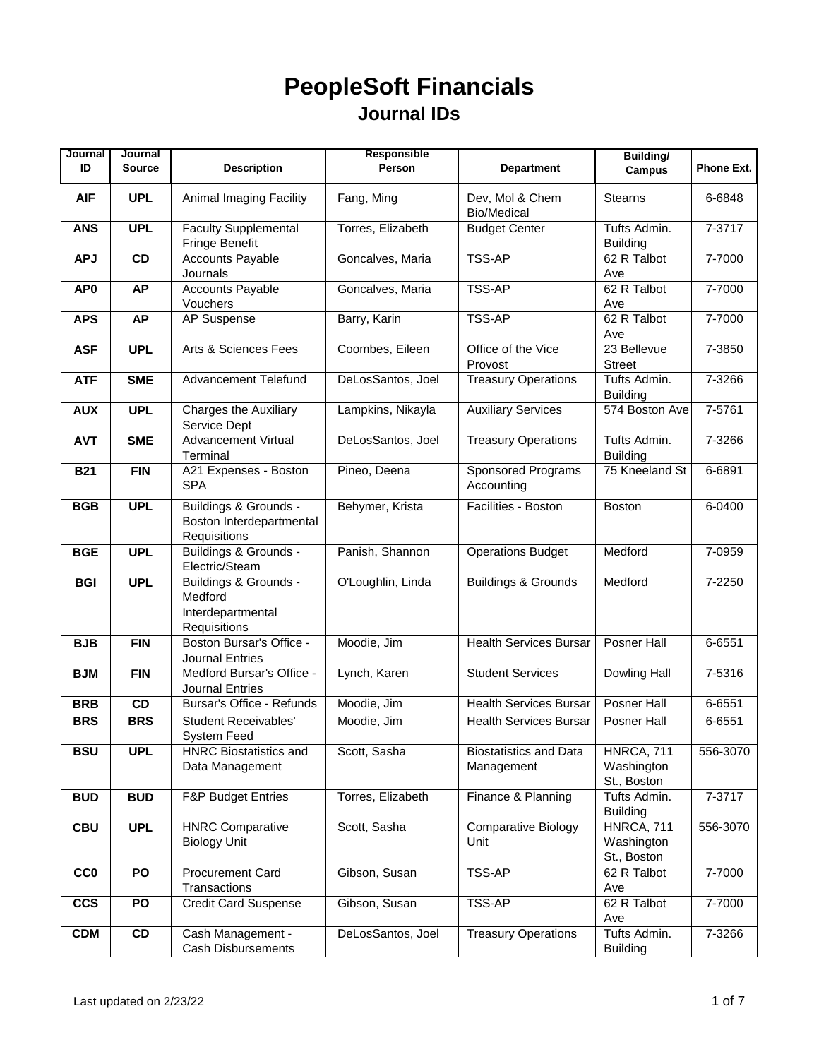| Journal         | Journal       |                                                                       | Responsible       |                                             | <b>Building/</b>                               |            |
|-----------------|---------------|-----------------------------------------------------------------------|-------------------|---------------------------------------------|------------------------------------------------|------------|
| ID              | <b>Source</b> | <b>Description</b>                                                    | Person            | <b>Department</b>                           | <b>Campus</b>                                  | Phone Ext. |
| <b>AIF</b>      | <b>UPL</b>    | Animal Imaging Facility                                               | Fang, Ming        | Dev, Mol & Chem<br><b>Bio/Medical</b>       | <b>Stearns</b>                                 | 6-6848     |
| <b>ANS</b>      | <b>UPL</b>    | <b>Faculty Supplemental</b><br>Fringe Benefit                         | Torres, Elizabeth | <b>Budget Center</b>                        | Tufts Admin.<br><b>Building</b>                | 7-3717     |
| <b>APJ</b>      | CD            | <b>Accounts Payable</b>                                               | Goncalves, Maria  | <b>TSS-AP</b>                               | 62 R Talbot                                    | 7-7000     |
|                 |               | Journals                                                              |                   |                                             | Ave                                            |            |
| AP <sub>0</sub> | <b>AP</b>     | <b>Accounts Payable</b><br>Vouchers                                   | Goncalves, Maria  | <b>TSS-AP</b>                               | 62 R Talbot<br>Ave                             | 7-7000     |
| <b>APS</b>      | <b>AP</b>     | <b>AP</b> Suspense                                                    | Barry, Karin      | <b>TSS-AP</b>                               | 62 R Talbot<br>Ave                             | 7-7000     |
| <b>ASF</b>      | <b>UPL</b>    | Arts & Sciences Fees                                                  | Coombes, Eileen   | Office of the Vice<br>Provost               | 23 Bellevue<br><b>Street</b>                   | 7-3850     |
| <b>ATF</b>      | <b>SME</b>    | <b>Advancement Telefund</b>                                           | DeLosSantos, Joel | <b>Treasury Operations</b>                  | Tufts Admin.<br><b>Building</b>                | 7-3266     |
| <b>AUX</b>      | <b>UPL</b>    | <b>Charges the Auxiliary</b><br>Service Dept                          | Lampkins, Nikayla | <b>Auxiliary Services</b>                   | 574 Boston Ave                                 | 7-5761     |
| <b>AVT</b>      | <b>SME</b>    | <b>Advancement Virtual</b><br>Terminal                                | DeLosSantos, Joel | <b>Treasury Operations</b>                  | Tufts Admin.<br><b>Building</b>                | 7-3266     |
| <b>B21</b>      | <b>FIN</b>    | A21 Expenses - Boston<br><b>SPA</b>                                   | Pineo, Deena      | Sponsored Programs<br>Accounting            | 75 Kneeland St                                 | 6-6891     |
| <b>BGB</b>      | <b>UPL</b>    | Buildings & Grounds -<br>Boston Interdepartmental<br>Requisitions     | Behymer, Krista   | Facilities - Boston                         | <b>Boston</b>                                  | $6 - 0400$ |
| <b>BGE</b>      | <b>UPL</b>    | Buildings & Grounds -<br>Electric/Steam                               | Panish, Shannon   | <b>Operations Budget</b>                    | Medford                                        | 7-0959     |
| <b>BGI</b>      | <b>UPL</b>    | Buildings & Grounds -<br>Medford<br>Interdepartmental<br>Requisitions | O'Loughlin, Linda | <b>Buildings &amp; Grounds</b>              | Medford                                        | 7-2250     |
| <b>BJB</b>      | <b>FIN</b>    | Boston Bursar's Office -<br><b>Journal Entries</b>                    | Moodie, Jim       | <b>Health Services Bursar</b>               | <b>Posner Hall</b>                             | 6-6551     |
| <b>BJM</b>      | <b>FIN</b>    | Medford Bursar's Office -<br><b>Journal Entries</b>                   | Lynch, Karen      | <b>Student Services</b>                     | Dowling Hall                                   | 7-5316     |
| <b>BRB</b>      | CD            | Bursar's Office - Refunds                                             | Moodie, Jim       | <b>Health Services Bursar</b>               | Posner Hall                                    | 6-6551     |
| <b>BRS</b>      | <b>BRS</b>    | <b>Student Receivables'</b><br>System Feed                            | Moodie, Jim       | <b>Health Services Bursar</b>               | Posner Hall                                    | 6-6551     |
| <b>BSU</b>      | <b>UPL</b>    | <b>HNRC Biostatistics and</b><br>Data Management                      | Scott, Sasha      | <b>Biostatistics and Data</b><br>Management | HNRCA, 711<br>Washington<br>St., Boston        | 556-3070   |
| <b>BUD</b>      | <b>BUD</b>    | <b>F&amp;P Budget Entries</b>                                         | Torres, Elizabeth | Finance & Planning                          | Tufts Admin.<br><b>Building</b>                | 7-3717     |
| <b>CBU</b>      | <b>UPL</b>    | <b>HNRC Comparative</b><br><b>Biology Unit</b>                        | Scott, Sasha      | <b>Comparative Biology</b><br>Unit          | <b>HNRCA, 711</b><br>Washington<br>St., Boston | 556-3070   |
| <b>CCO</b>      | PO            | <b>Procurement Card</b><br>Transactions                               | Gibson, Susan     | TSS-AP                                      | 62 R Talbot<br>Ave                             | 7-7000     |
| <b>CCS</b>      | PO            | <b>Credit Card Suspense</b>                                           | Gibson, Susan     | TSS-AP                                      | 62 R Talbot<br>Ave                             | 7-7000     |
| <b>CDM</b>      | CD            | Cash Management -<br><b>Cash Disbursements</b>                        | DeLosSantos, Joel | <b>Treasury Operations</b>                  | Tufts Admin.<br><b>Building</b>                | 7-3266     |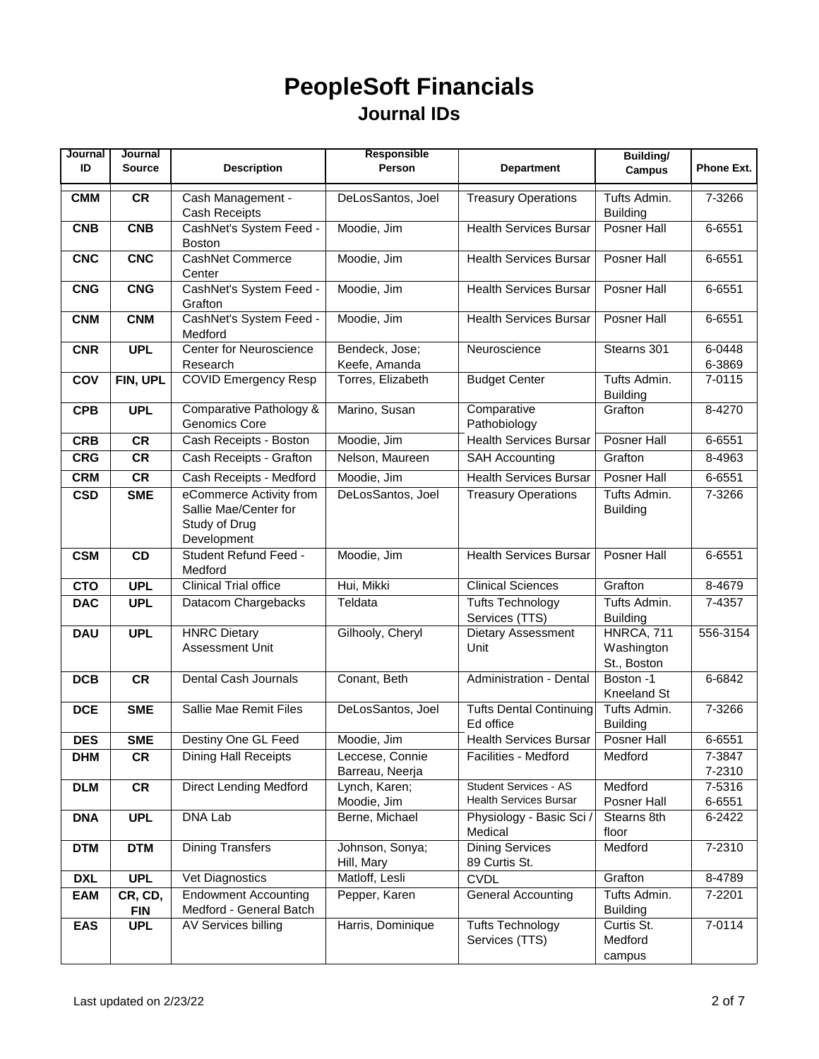| Journal<br>ID | Journal<br><b>Source</b> | <b>Description</b>                                                               | Responsible<br>Person              | <b>Department</b>                                             | <b>Building/</b>                        | Phone Ext.       |
|---------------|--------------------------|----------------------------------------------------------------------------------|------------------------------------|---------------------------------------------------------------|-----------------------------------------|------------------|
|               |                          |                                                                                  |                                    |                                                               | <b>Campus</b>                           |                  |
| <b>CMM</b>    | <b>CR</b>                | Cash Management -<br><b>Cash Receipts</b>                                        | DeLosSantos, Joel                  | <b>Treasury Operations</b>                                    | Tufts Admin.<br><b>Building</b>         | 7-3266           |
| <b>CNB</b>    | <b>CNB</b>               | CashNet's System Feed -<br><b>Boston</b>                                         | Moodie, Jim                        | <b>Health Services Bursar</b>                                 | <b>Posner Hall</b>                      | 6-6551           |
| <b>CNC</b>    | <b>CNC</b>               | <b>CashNet Commerce</b><br>Center                                                | Moodie, Jim                        | <b>Health Services Bursar</b>                                 | Posner Hall                             | 6-6551           |
| <b>CNG</b>    | <b>CNG</b>               | CashNet's System Feed -<br>Grafton                                               | Moodie, Jim                        | <b>Health Services Bursar</b>                                 | Posner Hall                             | 6-6551           |
| <b>CNM</b>    | <b>CNM</b>               | CashNet's System Feed -<br>Medford                                               | Moodie, Jim                        | <b>Health Services Bursar</b>                                 | Posner Hall                             | 6-6551           |
| <b>CNR</b>    | <b>UPL</b>               | <b>Center for Neuroscience</b><br>Research                                       | Bendeck, Jose;<br>Keefe, Amanda    | Neuroscience                                                  | Stearns 301                             | 6-0448<br>6-3869 |
| COV           | FIN, UPL                 | <b>COVID Emergency Resp</b>                                                      | Torres, Elizabeth                  | <b>Budget Center</b>                                          | Tufts Admin.<br><b>Building</b>         | 7-0115           |
| <b>CPB</b>    | <b>UPL</b>               | <b>Comparative Pathology &amp;</b><br>Genomics Core                              | Marino, Susan                      | Comparative<br>Pathobiology                                   | Grafton                                 | 8-4270           |
| <b>CRB</b>    | <b>CR</b>                | Cash Receipts - Boston                                                           | Moodie, Jim                        | <b>Health Services Bursar</b>                                 | Posner Hall                             | 6-6551           |
| <b>CRG</b>    | <b>CR</b>                | Cash Receipts - Grafton                                                          | Nelson, Maureen                    | <b>SAH Accounting</b>                                         | Grafton                                 | 8-4963           |
| <b>CRM</b>    | <b>CR</b>                | Cash Receipts - Medford                                                          | Moodie, Jim                        | <b>Health Services Bursar</b>                                 | Posner Hall                             | 6-6551           |
| <b>CSD</b>    | <b>SME</b>               | eCommerce Activity from<br>Sallie Mae/Center for<br>Study of Drug<br>Development | DeLosSantos, Joel                  | <b>Treasury Operations</b>                                    | Tufts Admin.<br><b>Building</b>         | 7-3266           |
| <b>CSM</b>    | CD                       | Student Refund Feed -<br>Medford                                                 | Moodie, Jim                        | <b>Health Services Bursar</b>                                 | <b>Posner Hall</b>                      | 6-6551           |
| <b>CTO</b>    | <b>UPL</b>               | <b>Clinical Trial office</b>                                                     | Hui, Mikki                         | <b>Clinical Sciences</b>                                      | Grafton                                 | 8-4679           |
| <b>DAC</b>    | <b>UPL</b>               | Datacom Chargebacks                                                              | Teldata                            | <b>Tufts Technology</b><br>Services (TTS)                     | Tufts Admin.<br><b>Building</b>         | 7-4357           |
| <b>DAU</b>    | <b>UPL</b>               | <b>HNRC Dietary</b><br><b>Assessment Unit</b>                                    | Gilhooly, Cheryl                   | Dietary Assessment<br>Unit                                    | HNRCA, 711<br>Washington<br>St., Boston | 556-3154         |
| <b>DCB</b>    | <b>CR</b>                | Dental Cash Journals                                                             | Conant, Beth                       | Administration - Dental                                       | Boston -1<br>Kneeland St                | 6-6842           |
| <b>DCE</b>    | <b>SME</b>               | Sallie Mae Remit Files                                                           | DeLosSantos, Joel                  | <b>Tufts Dental Continuing</b><br>Ed office                   | Tufts Admin.<br><b>Building</b>         | 7-3266           |
| <b>DES</b>    | <b>SME</b>               | Destiny One GL Feed                                                              | Moodie, Jim                        | <b>Health Services Bursar</b>                                 | Posner Hall                             | 6-6551           |
| <b>DHM</b>    | <b>CR</b>                | <b>Dining Hall Receipts</b>                                                      | Leccese, Connie<br>Barreau, Neerja | Facilities - Medford                                          | Medford                                 | 7-3847<br>7-2310 |
| <b>DLM</b>    | CR                       | <b>Direct Lending Medford</b>                                                    | Lynch, Karen;<br>Moodie, Jim       | <b>Student Services - AS</b><br><b>Health Services Bursar</b> | Medford<br>Posner Hall                  | 7-5316<br>6-6551 |
| <b>DNA</b>    | <b>UPL</b>               | DNA Lab                                                                          | Berne, Michael                     | Physiology - Basic Sci /<br>Medical                           | Stearns 8th<br>floor                    | 6-2422           |
| <b>DTM</b>    | <b>DTM</b>               | <b>Dining Transfers</b>                                                          | Johnson, Sonya;<br>Hill, Mary      | <b>Dining Services</b><br>89 Curtis St.                       | Medford                                 | 7-2310           |
| <b>DXL</b>    | <b>UPL</b>               | Vet Diagnostics                                                                  | Matloff, Lesli                     | <b>CVDL</b>                                                   | Grafton                                 | 8-4789           |
| <b>EAM</b>    | CR, CD,<br><b>FIN</b>    | <b>Endowment Accounting</b><br>Medford - General Batch                           | Pepper, Karen                      | <b>General Accounting</b>                                     | Tufts Admin.<br><b>Building</b>         | 7-2201           |
| <b>EAS</b>    | <b>UPL</b>               | AV Services billing                                                              | Harris, Dominique                  | <b>Tufts Technology</b><br>Services (TTS)                     | Curtis St.<br>Medford<br>campus         | 7-0114           |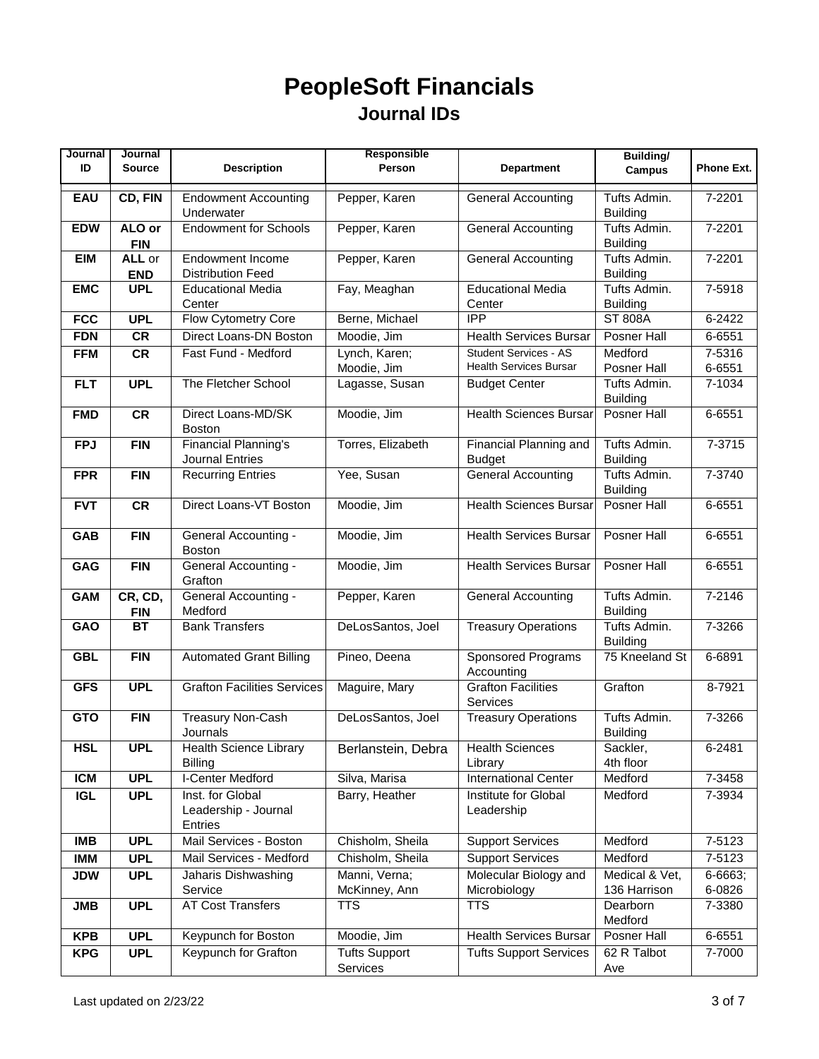| Journal    | Journal               |                                                            | Responsible                      |                                                               | <b>Building/</b>                |                   |
|------------|-----------------------|------------------------------------------------------------|----------------------------------|---------------------------------------------------------------|---------------------------------|-------------------|
| ID         | <b>Source</b>         | <b>Description</b>                                         | Person                           | <b>Department</b>                                             | <b>Campus</b>                   | <b>Phone Ext.</b> |
| EAU        | CD, FIN               | <b>Endowment Accounting</b><br>Underwater                  | Pepper, Karen                    | <b>General Accounting</b>                                     | Tufts Admin.<br><b>Building</b> | 7-2201            |
| <b>EDW</b> | ALO or<br><b>FIN</b>  | <b>Endowment for Schools</b>                               | Pepper, Karen                    | <b>General Accounting</b>                                     | Tufts Admin.<br><b>Building</b> | $7 - 2201$        |
| <b>EIM</b> | ALL or<br><b>END</b>  | <b>Endowment Income</b><br><b>Distribution Feed</b>        | Pepper, Karen                    | <b>General Accounting</b>                                     | Tufts Admin.<br><b>Building</b> | 7-2201            |
| <b>EMC</b> | <b>UPL</b>            | <b>Educational Media</b><br>Center                         | Fay, Meaghan                     | <b>Educational Media</b><br>Center                            | Tufts Admin.<br><b>Building</b> | 7-5918            |
| <b>FCC</b> | <b>UPL</b>            | Flow Cytometry Core                                        | Berne, Michael                   | <b>IPP</b>                                                    | <b>ST 808A</b>                  | 6-2422            |
| <b>FDN</b> | <b>CR</b>             | Direct Loans-DN Boston                                     | Moodie, Jim                      | <b>Health Services Bursar</b>                                 | Posner Hall                     | 6-6551            |
| <b>FFM</b> | <b>CR</b>             | Fast Fund - Medford                                        | Lynch, Karen;<br>Moodie, Jim     | <b>Student Services - AS</b><br><b>Health Services Bursar</b> | Medford<br>Posner Hall          | 7-5316<br>6-6551  |
| <b>FLT</b> | <b>UPL</b>            | The Fletcher School                                        | Lagasse, Susan                   | <b>Budget Center</b>                                          | Tufts Admin.<br><b>Building</b> | 7-1034            |
| <b>FMD</b> | <b>CR</b>             | Direct Loans-MD/SK<br><b>Boston</b>                        | Moodie, Jim                      | <b>Health Sciences Bursar</b>                                 | Posner Hall                     | 6-6551            |
| <b>FPJ</b> | <b>FIN</b>            | Financial Planning's<br><b>Journal Entries</b>             | Torres, Elizabeth                | Financial Planning and<br><b>Budget</b>                       | Tufts Admin.<br><b>Building</b> | 7-3715            |
| <b>FPR</b> | <b>FIN</b>            | <b>Recurring Entries</b>                                   | Yee, Susan                       | <b>General Accounting</b>                                     | Tufts Admin.<br><b>Building</b> | 7-3740            |
| <b>FVT</b> | <b>CR</b>             | Direct Loans-VT Boston                                     | Moodie, Jim                      | <b>Health Sciences Bursar</b>                                 | Posner Hall                     | 6-6551            |
| <b>GAB</b> | <b>FIN</b>            | <b>General Accounting -</b><br><b>Boston</b>               | Moodie, Jim                      | <b>Health Services Bursar</b>                                 | Posner Hall                     | 6-6551            |
| GAG        | <b>FIN</b>            | <b>General Accounting -</b><br>Grafton                     | Moodie, Jim                      | <b>Health Services Bursar</b>                                 | Posner Hall                     | 6-6551            |
| <b>GAM</b> | CR, CD,<br><b>FIN</b> | General Accounting -<br>Medford                            | Pepper, Karen                    | <b>General Accounting</b>                                     | Tufts Admin.<br><b>Building</b> | 7-2146            |
| <b>GAO</b> | <b>BT</b>             | <b>Bank Transfers</b>                                      | DeLosSantos, Joel                | <b>Treasury Operations</b>                                    | Tufts Admin.<br><b>Building</b> | 7-3266            |
| <b>GBL</b> | <b>FIN</b>            | <b>Automated Grant Billing</b>                             | Pineo, Deena                     | Sponsored Programs<br>Accounting                              | 75 Kneeland St                  | 6-6891            |
| <b>GFS</b> | <b>UPL</b>            | <b>Grafton Facilities Services</b>                         | Maguire, Mary                    | <b>Grafton Facilities</b><br>Services                         | Grafton                         | 8-7921            |
| <b>GTO</b> | <b>FIN</b>            | <b>Treasury Non-Cash</b><br>Journals                       | DeLosSantos, Joel                | <b>Treasury Operations</b>                                    | Tufts Admin.<br><b>Building</b> | 7-3266            |
| <b>HSL</b> | <b>UPL</b>            | <b>Health Science Library</b><br><b>Billing</b>            | Berlanstein, Debra               | <b>Health Sciences</b><br>Library                             | Sackler,<br>4th floor           | $6 - 2481$        |
| <b>ICM</b> | <b>UPL</b>            | <b>I-Center Medford</b>                                    | Silva, Marisa                    | <b>International Center</b>                                   | Medford                         | $7 - 3458$        |
| <b>IGL</b> | <b>UPL</b>            | Inst. for Global<br>Leadership - Journal<br><b>Entries</b> | Barry, Heather                   | Institute for Global<br>Leadership                            | Medford                         | 7-3934            |
| <b>IMB</b> | <b>UPL</b>            | Mail Services - Boston                                     | Chisholm, Sheila                 | <b>Support Services</b>                                       | Medford                         | 7-5123            |
| <b>IMM</b> | <b>UPL</b>            | Mail Services - Medford                                    | Chisholm, Sheila                 | <b>Support Services</b>                                       | Medford                         | 7-5123            |
| <b>JDW</b> | <b>UPL</b>            | Jaharis Dishwashing<br>Service                             | Manni, Verna;<br>McKinney, Ann   | Molecular Biology and<br>Microbiology                         | Medical & Vet,<br>136 Harrison  | 6-6663;<br>6-0826 |
| <b>JMB</b> | <b>UPL</b>            | <b>AT Cost Transfers</b>                                   | <b>TTS</b>                       | <b>TTS</b>                                                    | Dearborn<br>Medford             | 7-3380            |
| <b>KPB</b> | <b>UPL</b>            | Keypunch for Boston                                        | Moodie, Jim                      | <b>Health Services Bursar</b>                                 | Posner Hall                     | 6-6551            |
| <b>KPG</b> | <b>UPL</b>            | Keypunch for Grafton                                       | <b>Tufts Support</b><br>Services | <b>Tufts Support Services</b>                                 | 62 R Talbot<br>Ave              | 7-7000            |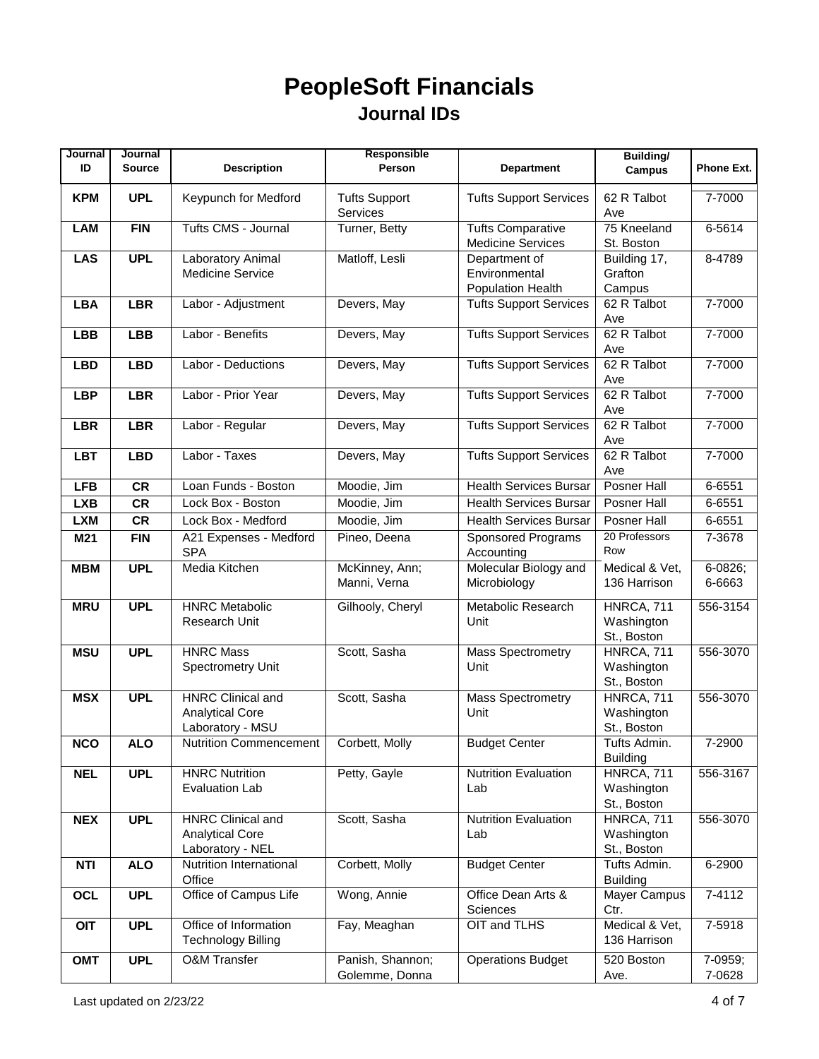| Journal    | Journal       |                           | Responsible          |                               | Building/       |                   |
|------------|---------------|---------------------------|----------------------|-------------------------------|-----------------|-------------------|
| ID         | <b>Source</b> | <b>Description</b>        | Person               | <b>Department</b>             | <b>Campus</b>   | <b>Phone Ext.</b> |
|            |               |                           |                      |                               |                 |                   |
| <b>KPM</b> | <b>UPL</b>    | Keypunch for Medford      | <b>Tufts Support</b> | <b>Tufts Support Services</b> | 62 R Talbot     | 7-7000            |
|            |               |                           | Services             |                               | Ave             |                   |
| LAM        | <b>FIN</b>    | Tufts CMS - Journal       | Turner, Betty        | <b>Tufts Comparative</b>      | 75 Kneeland     | 6-5614            |
|            |               |                           |                      | <b>Medicine Services</b>      | St. Boston      |                   |
| <b>LAS</b> | <b>UPL</b>    | Laboratory Animal         | Matloff, Lesli       | Department of                 | Building 17,    | 8-4789            |
|            |               | <b>Medicine Service</b>   |                      | Environmental                 | Grafton         |                   |
|            |               |                           |                      | Population Health             | Campus          |                   |
| <b>LBA</b> | <b>LBR</b>    | Labor - Adjustment        | Devers, May          | <b>Tufts Support Services</b> | 62 R Talbot     | 7-7000            |
|            |               |                           |                      |                               | Ave             |                   |
| <b>LBB</b> | <b>LBB</b>    | Labor - Benefits          | Devers, May          | <b>Tufts Support Services</b> | 62 R Talbot     | 7-7000            |
|            |               |                           |                      |                               | Ave             |                   |
| <b>LBD</b> | <b>LBD</b>    | Labor - Deductions        | Devers, May          | <b>Tufts Support Services</b> | 62 R Talbot     | 7-7000            |
|            |               |                           |                      |                               | Ave             |                   |
| <b>LBP</b> | <b>LBR</b>    | Labor - Prior Year        | Devers, May          | <b>Tufts Support Services</b> | 62 R Talbot     | 7-7000            |
|            |               |                           |                      |                               | Ave             |                   |
| <b>LBR</b> | <b>LBR</b>    | Labor - Regular           | Devers, May          | <b>Tufts Support Services</b> | 62 R Talbot     | 7-7000            |
|            |               |                           |                      |                               | Ave             |                   |
| <b>LBT</b> | <b>LBD</b>    | Labor - Taxes             | Devers, May          | <b>Tufts Support Services</b> | 62 R Talbot     | 7-7000            |
|            |               |                           |                      |                               | Ave             |                   |
| <b>LFB</b> | <b>CR</b>     | Loan Funds - Boston       | Moodie, Jim          | <b>Health Services Bursar</b> | Posner Hall     | 6-6551            |
|            |               |                           |                      |                               |                 |                   |
| <b>LXB</b> | <b>CR</b>     | Lock Box - Boston         | Moodie, Jim          | <b>Health Services Bursar</b> | Posner Hall     | 6-6551            |
| <b>LXM</b> | <b>CR</b>     | Lock Box - Medford        | Moodie, Jim          | <b>Health Services Bursar</b> | Posner Hall     | 6-6551            |
| M21        | <b>FIN</b>    | A21 Expenses - Medford    | Pineo, Deena         | Sponsored Programs            | 20 Professors   | 7-3678            |
|            |               | <b>SPA</b>                |                      | Accounting                    | Row             |                   |
| <b>MBM</b> | <b>UPL</b>    | Media Kitchen             | McKinney, Ann;       | Molecular Biology and         | Medical & Vet,  | 6-0826;           |
|            |               |                           | Manni, Verna         | Microbiology                  | 136 Harrison    | 6-6663            |
| <b>MRU</b> | <b>UPL</b>    | <b>HNRC Metabolic</b>     | Gilhooly, Cheryl     | Metabolic Research            | HNRCA, 711      | 556-3154          |
|            |               | Research Unit             |                      | Unit                          | Washington      |                   |
|            |               |                           |                      |                               |                 |                   |
|            |               | <b>HNRC Mass</b>          |                      |                               | St., Boston     | 556-3070          |
| <b>MSU</b> | <b>UPL</b>    |                           | Scott, Sasha         | <b>Mass Spectrometry</b>      | HNRCA, 711      |                   |
|            |               | Spectrometry Unit         |                      | Unit                          | Washington      |                   |
|            |               |                           |                      |                               | St., Boston     |                   |
| <b>MSX</b> | <b>UPL</b>    | <b>HNRC Clinical and</b>  | Scott, Sasha         | <b>Mass Spectrometry</b>      | HNRCA, 711      | 556-3070          |
|            |               | <b>Analytical Core</b>    |                      | Unit                          | Washington      |                   |
|            |               | Laboratory - MSU          |                      |                               | St., Boston     |                   |
| <b>NCO</b> | <b>ALO</b>    | Nutrition Commencement    | Corbett, Molly       | <b>Budget Center</b>          | Tufts Admin.    | 7-2900            |
|            |               |                           |                      |                               | <b>Building</b> |                   |
| <b>NEL</b> | <b>UPL</b>    | <b>HNRC Nutrition</b>     | Petty, Gayle         | Nutrition Evaluation          | HNRCA, 711      | 556-3167          |
|            |               | Evaluation Lab            |                      | Lab                           | Washington      |                   |
|            |               |                           |                      |                               | St., Boston     |                   |
| <b>NEX</b> | <b>UPL</b>    | <b>HNRC Clinical and</b>  | Scott, Sasha         | Nutrition Evaluation          | HNRCA, 711      | 556-3070          |
|            |               | <b>Analytical Core</b>    |                      | Lab                           | Washington      |                   |
|            |               | Laboratory - NEL          |                      |                               | St., Boston     |                   |
| <b>NTI</b> | <b>ALO</b>    | Nutrition International   | Corbett, Molly       | <b>Budget Center</b>          | Tufts Admin.    | 6-2900            |
|            |               | Office                    |                      |                               | <b>Building</b> |                   |
| OCL        | <b>UPL</b>    | Office of Campus Life     | Wong, Annie          | Office Dean Arts &            | Mayer Campus    | 7-4112            |
|            |               |                           |                      | Sciences                      | Ctr.            |                   |
| OIT        | <b>UPL</b>    | Office of Information     | Fay, Meaghan         | OIT and TLHS                  | Medical & Vet,  | 7-5918            |
|            |               | <b>Technology Billing</b> |                      |                               | 136 Harrison    |                   |
| <b>OMT</b> | <b>UPL</b>    | <b>O&amp;M Transfer</b>   | Panish, Shannon;     | <b>Operations Budget</b>      | 520 Boston      | 7-0959;           |
|            |               |                           | Golemme, Donna       |                               | Ave.            | 7-0628            |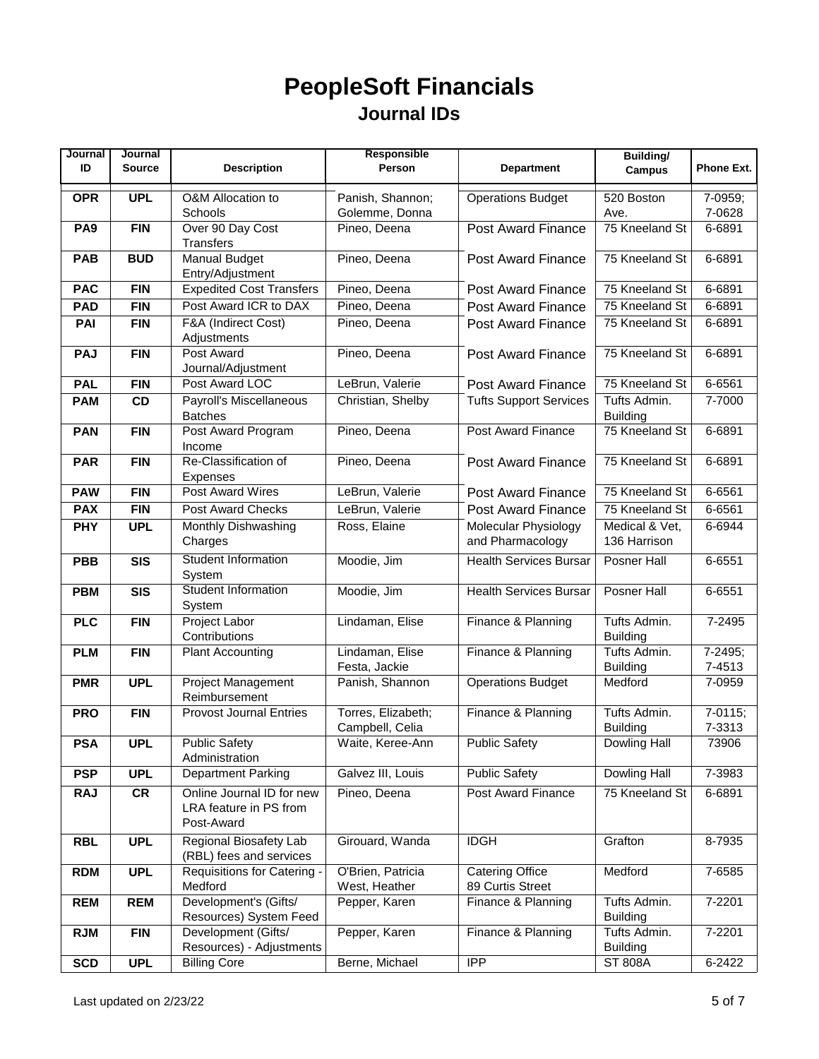| Journal         | Journal       |                                        | Responsible                           |                                            | <b>Building/</b>                |                     |
|-----------------|---------------|----------------------------------------|---------------------------------------|--------------------------------------------|---------------------------------|---------------------|
| ID              | <b>Source</b> | <b>Description</b>                     | Person                                | <b>Department</b>                          | <b>Campus</b>                   | <b>Phone Ext.</b>   |
| <b>OPR</b>      | <b>UPL</b>    | O&M Allocation to                      | Panish, Shannon;                      | <b>Operations Budget</b>                   | 520 Boston                      | 7-0959;             |
|                 |               | Schools                                | Golemme, Donna                        |                                            | Ave.                            | 7-0628              |
| PA <sub>9</sub> | <b>FIN</b>    | Over 90 Day Cost                       | Pineo, Deena                          | Post Award Finance                         | 75 Kneeland St                  | 6-6891              |
|                 |               | <b>Transfers</b>                       |                                       |                                            |                                 |                     |
| <b>PAB</b>      | <b>BUD</b>    | Manual Budget                          | Pineo, Deena                          | <b>Post Award Finance</b>                  | 75 Kneeland St                  | 6-6891              |
|                 |               | Entry/Adjustment                       |                                       |                                            |                                 |                     |
| <b>PAC</b>      | <b>FIN</b>    | <b>Expedited Cost Transfers</b>        | Pineo, Deena                          | Post Award Finance                         | 75 Kneeland St                  | 6-6891              |
| <b>PAD</b>      | <b>FIN</b>    | Post Award ICR to DAX                  | Pineo, Deena                          | <b>Post Award Finance</b>                  | 75 Kneeland St                  | 6-6891              |
| <b>PAI</b>      | <b>FIN</b>    | F&A (Indirect Cost)                    | Pineo, Deena                          | <b>Post Award Finance</b>                  | 75 Kneeland St                  | 6-6891              |
|                 |               | Adjustments<br>Post Award              | Pineo, Deena                          |                                            | 75 Kneeland St                  |                     |
| <b>PAJ</b>      | <b>FIN</b>    | Journal/Adjustment                     |                                       | <b>Post Award Finance</b>                  |                                 | 6-6891              |
| <b>PAL</b>      | <b>FIN</b>    | Post Award LOC                         | LeBrun, Valerie                       | <b>Post Award Finance</b>                  | 75 Kneeland St                  | 6-6561              |
| <b>PAM</b>      | <b>CD</b>     | Payroll's Miscellaneous                | Christian, Shelby                     | <b>Tufts Support Services</b>              | Tufts Admin.                    | 7-7000              |
|                 |               | <b>Batches</b>                         |                                       |                                            | <b>Building</b>                 |                     |
| <b>PAN</b>      | <b>FIN</b>    | Post Award Program<br>Income           | Pineo, Deena                          | Post Award Finance                         | 75 Kneeland St                  | 6-6891              |
| <b>PAR</b>      | <b>FIN</b>    | Re-Classification of                   | Pineo, Deena                          | Post Award Finance                         | 75 Kneeland St                  | 6-6891              |
|                 |               | Expenses                               |                                       |                                            |                                 |                     |
| <b>PAW</b>      | <b>FIN</b>    | Post Award Wires                       | LeBrun, Valerie                       | <b>Post Award Finance</b>                  | 75 Kneeland St                  | 6-6561              |
| <b>PAX</b>      | <b>FIN</b>    | Post Award Checks                      | LeBrun, Valerie                       | <b>Post Award Finance</b>                  | 75 Kneeland St                  | 6-6561              |
| <b>PHY</b>      | <b>UPL</b>    | Monthly Dishwashing                    | Ross, Elaine                          | Molecular Physiology                       | Medical & Vet,                  | 6-6944              |
|                 |               | Charges                                |                                       | and Pharmacology                           | 136 Harrison                    |                     |
| <b>PBB</b>      | <b>SIS</b>    | <b>Student Information</b>             | Moodie, Jim                           | <b>Health Services Bursar</b>              | Posner Hall                     | 6-6551              |
|                 |               | System                                 |                                       |                                            |                                 |                     |
| <b>PBM</b>      | <b>SIS</b>    | Student Information<br>System          | Moodie, Jim                           | <b>Health Services Bursar</b>              | Posner Hall                     | 6-6551              |
| <b>PLC</b>      | <b>FIN</b>    | Project Labor                          | Lindaman, Elise                       | Finance & Planning                         | Tufts Admin.                    | 7-2495              |
|                 |               | Contributions                          |                                       |                                            | <b>Building</b>                 |                     |
| <b>PLM</b>      | <b>FIN</b>    | <b>Plant Accounting</b>                | Lindaman, Elise                       | Finance & Planning                         | Tufts Admin.                    | 7-2495;             |
|                 |               |                                        | Festa, Jackie                         |                                            | <b>Building</b>                 | 7-4513              |
| <b>PMR</b>      | <b>UPL</b>    | Project Management                     | Panish, Shannon                       | <b>Operations Budget</b>                   | Medford                         | 7-0959              |
|                 |               | Reimbursement                          |                                       |                                            |                                 |                     |
| <b>PRO</b>      | <b>FIN</b>    | <b>Provost Journal Entries</b>         | Torres, Elizabeth;<br>Campbell, Celia | Finance & Planning                         | Tufts Admin.<br><b>Building</b> | $7-0115;$<br>7-3313 |
| <b>PSA</b>      | <b>UPL</b>    | <b>Public Safety</b>                   | Waite, Keree-Ann                      | <b>Public Safety</b>                       | Dowling Hall                    | 73906               |
|                 |               | Administration                         |                                       |                                            |                                 |                     |
| <b>PSP</b>      | <b>UPL</b>    | <b>Department Parking</b>              | Galvez III, Louis                     | <b>Public Safety</b>                       | Dowling Hall                    | 7-3983              |
| <b>RAJ</b>      | CR            | Online Journal ID for new              | Pineo, Deena                          | Post Award Finance                         | 75 Kneeland St                  | 6-6891              |
|                 |               | LRA feature in PS from                 |                                       |                                            |                                 |                     |
|                 |               | Post-Award                             |                                       |                                            |                                 |                     |
| <b>RBL</b>      | <b>UPL</b>    | Regional Biosafety Lab                 | Girouard, Wanda                       | <b>IDGH</b>                                | Grafton                         | 8-7935              |
|                 |               | (RBL) fees and services                |                                       |                                            |                                 |                     |
| <b>RDM</b>      | <b>UPL</b>    | Requisitions for Catering -<br>Medford | O'Brien, Patricia                     | <b>Catering Office</b><br>89 Curtis Street | Medford                         | 7-6585              |
| REM             | <b>REM</b>    | Development's (Gifts/                  | West, Heather<br>Pepper, Karen        | Finance & Planning                         | Tufts Admin.                    | 7-2201              |
|                 |               | Resources) System Feed                 |                                       |                                            | <b>Building</b>                 |                     |
| <b>RJM</b>      | <b>FIN</b>    | Development (Gifts/                    | Pepper, Karen                         | Finance & Planning                         | Tufts Admin.                    | 7-2201              |
|                 |               | Resources) - Adjustments               |                                       |                                            | <b>Building</b>                 |                     |
| <b>SCD</b>      | <b>UPL</b>    | <b>Billing Core</b>                    | Berne, Michael                        | <b>IPP</b>                                 | <b>ST 808A</b>                  | 6-2422              |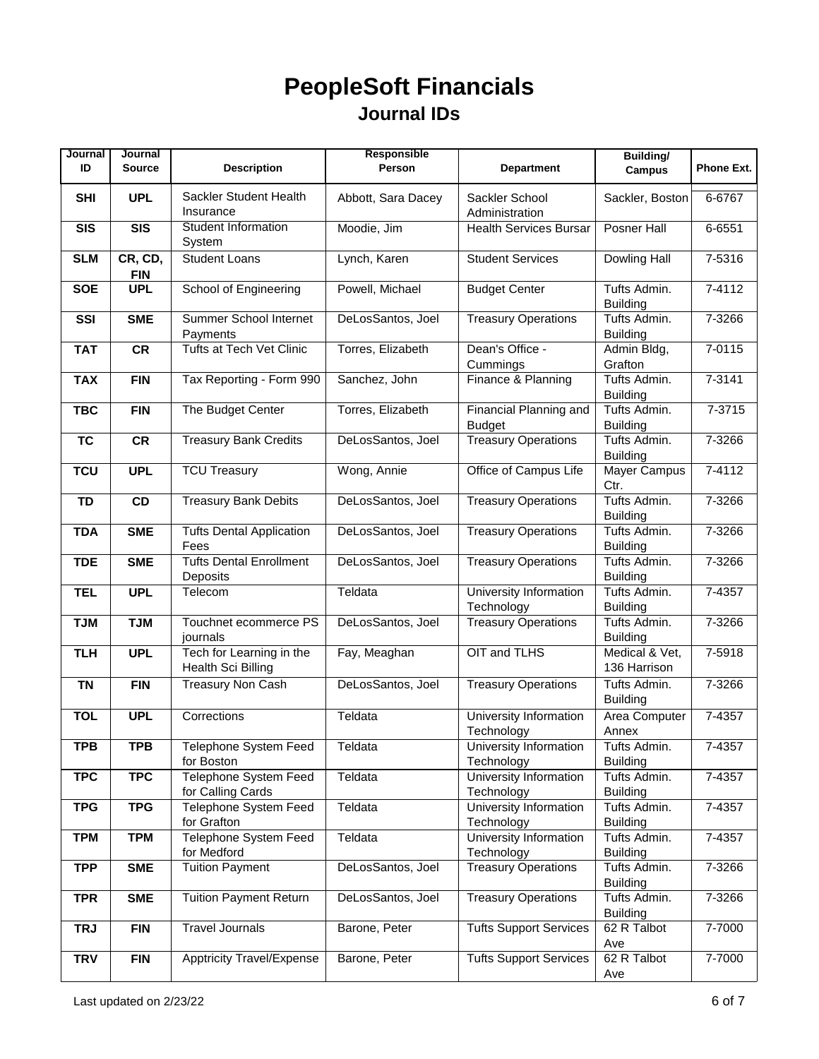| Journal    | Journal               |                                                | Responsible        |                                         | <b>Building/</b>                |                   |
|------------|-----------------------|------------------------------------------------|--------------------|-----------------------------------------|---------------------------------|-------------------|
| ID         | <b>Source</b>         | <b>Description</b>                             | Person             | <b>Department</b>                       | <b>Campus</b>                   | <b>Phone Ext.</b> |
| <b>SHI</b> | <b>UPL</b>            | Sackler Student Health<br>Insurance            | Abbott, Sara Dacey | Sackler School<br>Administration        | Sackler, Boston                 | 6-6767            |
| <b>SIS</b> | <b>SIS</b>            | <b>Student Information</b><br>System           | Moodie, Jim        | <b>Health Services Bursar</b>           | Posner Hall                     | 6-6551            |
| <b>SLM</b> | CR, CD,<br><b>FIN</b> | <b>Student Loans</b>                           | Lynch, Karen       | <b>Student Services</b>                 | Dowling Hall                    | 7-5316            |
| <b>SOE</b> | <b>UPL</b>            | School of Engineering                          | Powell, Michael    | <b>Budget Center</b>                    | Tufts Admin.<br><b>Building</b> | $7 - 4112$        |
| SSI        | <b>SME</b>            | Summer School Internet<br>Payments             | DeLosSantos, Joel  | <b>Treasury Operations</b>              | Tufts Admin.<br><b>Building</b> | 7-3266            |
| <b>TAT</b> | <b>CR</b>             | <b>Tufts at Tech Vet Clinic</b>                | Torres, Elizabeth  | Dean's Office -<br>Cummings             | Admin Bldg,<br>Grafton          | 7-0115            |
| <b>TAX</b> | <b>FIN</b>            | Tax Reporting - Form 990                       | Sanchez, John      | Finance & Planning                      | Tufts Admin.<br><b>Building</b> | 7-3141            |
| <b>TBC</b> | <b>FIN</b>            | The Budget Center                              | Torres, Elizabeth  | Financial Planning and<br><b>Budget</b> | Tufts Admin.<br><b>Building</b> | 7-3715            |
| <b>TC</b>  | <b>CR</b>             | <b>Treasury Bank Credits</b>                   | DeLosSantos, Joel  | <b>Treasury Operations</b>              | Tufts Admin.<br><b>Building</b> | 7-3266            |
| <b>TCU</b> | <b>UPL</b>            | <b>TCU Treasury</b>                            | Wong, Annie        | Office of Campus Life                   | Mayer Campus<br>Ctr.            | $7 - 4112$        |
| <b>TD</b>  | CD                    | <b>Treasury Bank Debits</b>                    | DeLosSantos, Joel  | <b>Treasury Operations</b>              | Tufts Admin.<br><b>Building</b> | 7-3266            |
| <b>TDA</b> | <b>SME</b>            | <b>Tufts Dental Application</b><br>Fees        | DeLosSantos, Joel  | <b>Treasury Operations</b>              | Tufts Admin.<br><b>Building</b> | 7-3266            |
| <b>TDE</b> | <b>SME</b>            | <b>Tufts Dental Enrollment</b><br>Deposits     | DeLosSantos, Joel  | <b>Treasury Operations</b>              | Tufts Admin.<br><b>Building</b> | 7-3266            |
| <b>TEL</b> | <b>UPL</b>            | Telecom                                        | Teldata            | University Information<br>Technology    | Tufts Admin.<br><b>Building</b> | 7-4357            |
| <b>TJM</b> | <b>TJM</b>            | Touchnet ecommerce PS<br>journals              | DeLosSantos, Joel  | <b>Treasury Operations</b>              | Tufts Admin.<br><b>Building</b> | 7-3266            |
| <b>TLH</b> | <b>UPL</b>            | Tech for Learning in the<br>Health Sci Billing | Fay, Meaghan       | OIT and TLHS                            | Medical & Vet,<br>136 Harrison  | 7-5918            |
| <b>TN</b>  | <b>FIN</b>            | <b>Treasury Non Cash</b>                       | DeLosSantos, Joel  | <b>Treasury Operations</b>              | Tufts Admin.<br><b>Building</b> | 7-3266            |
| <b>TOL</b> | <b>UPL</b>            | Corrections                                    | Teldata            | University Information<br>Technology    | Area Computer<br>Annex          | 7-4357            |
| <b>TPB</b> | <b>TPB</b>            | Telephone System Feed<br>for Boston            | Teldata            | University Information<br>Technology    | Tufts Admin.<br><b>Building</b> | 7-4357            |
| <b>TPC</b> | <b>TPC</b>            | Telephone System Feed<br>for Calling Cards     | Teldata            | University Information<br>Technology    | Tufts Admin.<br><b>Building</b> | 7-4357            |
| <b>TPG</b> | <b>TPG</b>            | Telephone System Feed<br>for Grafton           | Teldata            | University Information<br>Technology    | Tufts Admin.<br><b>Building</b> | 7-4357            |
| <b>TPM</b> | <b>TPM</b>            | <b>Telephone System Feed</b><br>for Medford    | Teldata            | University Information<br>Technology    | Tufts Admin.<br><b>Building</b> | 7-4357            |
| <b>TPP</b> | <b>SME</b>            | <b>Tuition Payment</b>                         | DeLosSantos, Joel  | <b>Treasury Operations</b>              | Tufts Admin.<br><b>Building</b> | 7-3266            |
| <b>TPR</b> | <b>SME</b>            | <b>Tuition Payment Return</b>                  | DeLosSantos, Joel  | <b>Treasury Operations</b>              | Tufts Admin.<br><b>Building</b> | 7-3266            |
| <b>TRJ</b> | <b>FIN</b>            | <b>Travel Journals</b>                         | Barone, Peter      | <b>Tufts Support Services</b>           | 62 R Talbot<br>Ave              | 7-7000            |
| <b>TRV</b> | <b>FIN</b>            | <b>Apptricity Travel/Expense</b>               | Barone, Peter      | <b>Tufts Support Services</b>           | $62$ R Talbot<br>Ave            | 7-7000            |